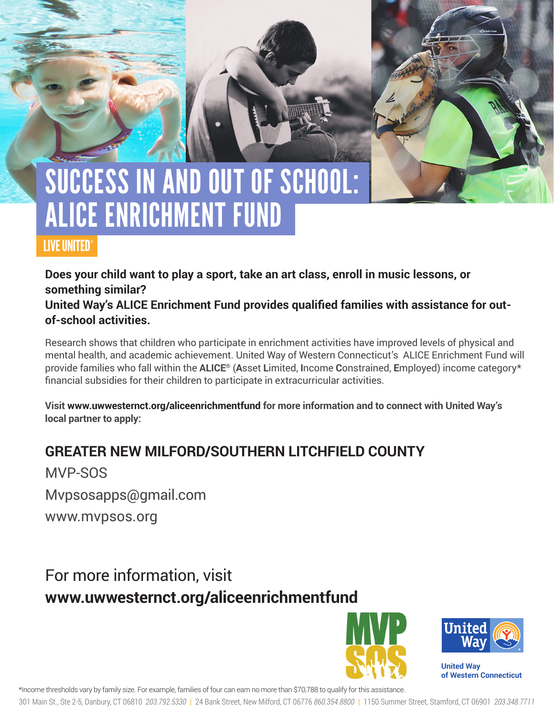# SUCCESS IN AND OUT OF SCHOOL: ALICE ENRICHMENT FUND

### LIVE UNITED®

**Does your child want to play a sport, take an art class, enroll in music lessons, or something similar?** 

**United Way's ALICE Enrichment Fund provides qualified families with assistance for outof-school activities.** 

Research shows that children who participate in enrichment activities have improved levels of physical and mental health, and academic achievement. United Way of Western Connecticut's ALICE Enrichment Fund will provide families who fall within the **ALICE®** (**A**sset **L**imited, **I**ncome **C**onstrained, **E**mployed) income category\* financial subsidies for their children to participate in extracurricular activities.

**Visit www.uwwesternct.org/aliceenrichmentfund for more information and to connect with United Way's local partner to apply:**

## **GREATER NEW MILFORD/SOUTHERN LITCHFIELD COUNTY**

MVP-SOS

Mvpsosapps@gmail.com

www.mvpsos.org

## For more information, visit **www.uwwesternct.org/aliceenrichmentfund**





**United Way of Western Connecticut** 

\*Income thresholds vary by family size. For example, families of four can earn no more than \$70,788 to qualify for this assistance.

301 Main St., Ste 2-5, Danbury, CT 06810 *203.792.5330* | 24 Bank Street, New Milford, CT 06776 *860.354.8800* | 1150 Summer Street, Stamford, CT 06901 *203.348.7711*